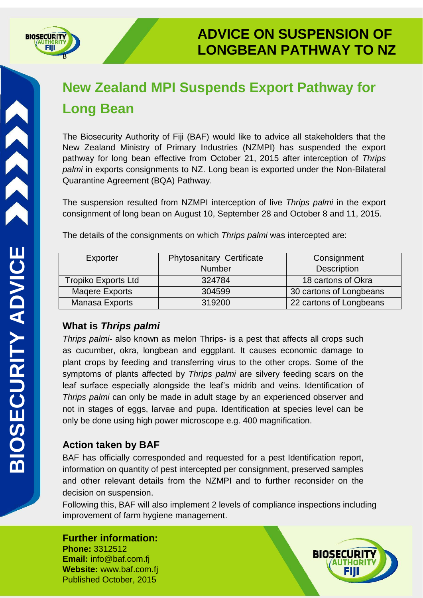

# **New Zealand MPI Suspends Export Pathway for Long Bean**

The Biosecurity Authority of Fiji (BAF) would like to advice all stakeholders that the New Zealand Ministry of Primary Industries (NZMPI) has suspended the export pathway for long bean effective from October 21, 2015 after interception of *Thrips palmi* in exports consignments to NZ. Long bean is exported under the Non-Bilateral Quarantine Agreement (BQA) Pathway.

The suspension resulted from NZMPI interception of live *Thrips palmi* in the export consignment of long bean on August 10, September 28 and October 8 and 11, 2015.

| Exporter                   | <b>Phytosanitary Certificate</b> | Consignment             |
|----------------------------|----------------------------------|-------------------------|
|                            | <b>Number</b>                    | <b>Description</b>      |
| <b>Tropiko Exports Ltd</b> | 324784                           | 18 cartons of Okra      |
| Magere Exports             | 304599                           | 30 cartons of Longbeans |
| Manasa Exports             | 319200                           | 22 cartons of Longbeans |

The details of the consignments on which *Thrips palmi* was intercepted are:

## **What is** *Thrips palmi*

*Thrips palmi-* also known as melon Thrips- is a pest that affects all crops such as cucumber, okra, longbean and eggplant. It causes economic damage to plant crops by feeding and transferring virus to the other crops. Some of the symptoms of plants affected by *Thrips palmi* are silvery feeding scars on the leaf surface especially alongside the leaf's midrib and veins. Identification of *Thrips palmi* can only be made in adult stage by an experienced observer and not in stages of eggs, larvae and pupa. Identification at species level can be only be done using high power microscope e.g. 400 magnification.

## **Action taken by BAF**

BAF has officially corresponded and requested for a pest Identification report, information on quantity of pest intercepted per consignment, preserved samples and other relevant details from the NZMPI and to further reconsider on the decision on suspension.

Following this, BAF will also implement 2 levels of compliance inspections including improvement of farm hygiene management.

#### **Further information: Phone:** 3312512

**Email:** info@baf.com.fj **Website:** www.baf.com.fj Published October, 2015